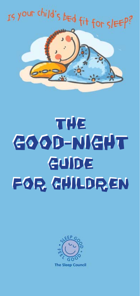

# THE THE GOOD-NIGHT GOOD-NIGHT GUIDE GUIDE FOR CHILDREN FOR CHILDREN

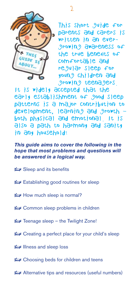

This short guide for parents and carers is written in an evergrowing awareness of the true benefits of comfortable and regular sleep for young children and growing teenagers.

It is widely accepted that the early establishment of good sleep patterns is a major contribution to development, learning and growth – both physical and emotional. It is also a path to harmony and sanity in any household!

*This guide aims to cover the following in the hope that most problems and questions will be answered in a logical way.*

- a Sleep and its benefits
- Establishing good routines for sleep
- $\leftrightarrow$  How much sleep is normal?
- Common sleep problems in children
- Feenage sleep the Twilight Zone!
- Creating a perfect place for your child's sleep
- **EV** Illness and sleep loss
- Choosing beds for children and teens
- a Alternative tips and resources (useful numbers)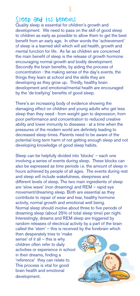# Sleep and its benefits

Quality sleep is essential for children's growth and development. We need to pass on the skill of good sleep to children as early as possible to allow them to get the best benefit from an early age. In other words the 'achievement' of sleep is a learned skill which will aid health, growth and mental function for life. As far as children are concerned the main benefit of sleep is the release of growth hormone encouraging normal growth and bodily development. Secondly the brain benefits, by aiding the process of concentration - the making sense of the day's events, the things they learn at school and the skills they are developing as they grow up. Thirdly, healthy brain development and emotional/mental health are encouraged by the 'de-toxifying' benefits of good sleep.

There's an increasing body of evidence showing the damaging effect on children and young adults who get less sleep than they need - from weight gain to depression, from poor performance and concentration to reduced creative ability and lower immunity to diseases - at a time when the pressures of the modern world are definitely leading to decreased sleep times. Parents need to be aware of the potential long term harm of not getting enough sleep and not developing knowledge of good sleep habits.

Sleep can be helpfully divided into 'blocks' – each one involving a series of events during sleep. These blocks can also be expressed as time periods i.e. the amount of sleep in hours achieved by people of all ages. The events during rest and sleep will include wakefulness, sleepiness and different levels of sleep. The two main ingredients of sleep are 'slow wave' (non dreaming) and REM – rapid eye movement/dreaming sleep. Both are essential as they contribute to repair of wear and tear, healthy hormone activity, normal growth and emotional well being. Normal sleep should involve about three to five periods of dreaming sleep (about 25% of total sleep time) per night. Interestingly, dreams and REM sleep are triggered by random releases of electrical activity by a part of the brain called the 'stem' – this is received by the forebrain which

then desperately tries to 'make sense' of it all – this is why children often refer to daily activities or experience in school in their dreams, finding a 'reference' they can relate to. This process is vital for good brain health and emotional development.

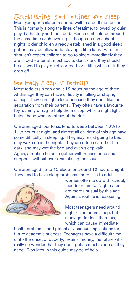Establishing good routines for sleep Most younger children respond well to a bedtime routine. This is normally along the lines of teatime, followed by quiet play, bath, story and then bed. Bedtime should be around the same time each evening, although on non school nights, older children already established in a good sleep pattern may be allowed to stay up a little later. Parents shouldn't expect children to go to sleep immediately they are in bed - after all, most adults don't - and they should be allowed to play quietly or read for a little while until they drop off.

## How much sleep is normal?

Most toddlers sleep about 12 hours by the age of three. At this age they can have difficulty in falling or staying asleep. They can fight sleep because they don't like the separation from their parents. They often have a favourite toy, dummy or rag to help them sleep, while a night light helps those who are afraid of the dark.

Children aged four to six tend to sleep between 10½ to 11½ hours at night, and almost all children of this age have some difficulty in sleeping. They may resist going to bed, may wake up in the night. They are often scared of the dark, and may wet the bed and even sleepwalk. Again, a routine helps, together with reassurance and support - without over-dramatising the issue.

Children aged six to 12 sleep for around 10 hours a night. They tend to have sleep problems more akin to adults -



worries often to do with school, friends or family. Nightmares are more unusual by this age. Again, a routine is reassuring.

Most teenagers need around eight - nine hours sleep, but many get far less than this, which can cause immediate

health problems, and potentially serious implications for future academic success. Teenagers have a difficult time of it - the onset of puberty, exams, money, the future - it's really no wonder that they don't get as much sleep as they need. Tips later in this guide may be of help.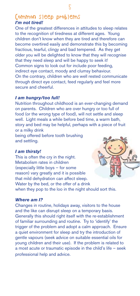# Common sleep problems *I'm not tired!*

One of the greatest differences in attitudes to sleep relates to the recognition of tiredness at different ages. Young children don't know when they are tired and therefore can become overtired easily and demonstrate this by becoming fractious, tearful, clingy and bad tempered. As they get older you will be delighted to know that they will recognise that they need sleep and will be happy to seek it! Common signs to look out for include poor feeding, indirect eye contact, moody and clumsy behaviour. On the contrary, children who are well rested communicate through direct eye contact, feed regularly and feel more secure and cheerful.

## *I am hungry/too full!*

Nutrition throughout childhood is an ever-changing demand on parents. Children who are over hungry or too full of food (or the wrong type of food), will not settle and sleep well. Light meals a while before bed time, a warm bath, story and bed may be helpful, perhaps with a piece of fruit or a milky drink

being offered before tooth brushing and settling.

## *I am thirsty!*

This is often the cry in the night. Metabolism rates in children (especially little boys – for some reason) vary greatly and it is possible that mild dehydration can affect sleep. Water by the bed, or the offer of a drink when they pop to the loo in the night should sort this.



## *Where am I?*

Changes in routine, holidays away, visitors to the house and the like can disrupt sleep on a temporary basis. Generally this should right itself with the re-establishment of familiar surrounding and routine. Try to 'identify' the trigger of the problem and adopt a calm approach. Ensure a quiet environment for sleep and try the introduction of gentle vapours (seek advice on suitable essential oils for young children and their use). If the problem is related to a most acute or traumatic episode in the child's life – seek professional help and advice.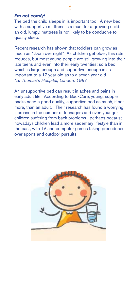## *I'm not comfy!*

The bed the child sleeps in is important too. A new bed with a supportive mattress is a must for a growing child; an old, lumpy, mattress is not likely to be conducive to quality sleep.

Recent research has shown that toddlers can grow as much as 1.5cm overnight\* As children get older, this rate reduces, but most young people are still growing into their late teens and even into their early twenties; so a bed which is large enough and supportive enough is as important to a 17 year old as to a seven year old. *\*St Thomas's Hospital, London, 1997*

An unsupportive bed can result in aches and pains in early adult life. According to BackCare, young, supple backs need a good quality, supportive bed as much, if not more, than an adult. Their research has found a worrying increase in the number of teenagers and even younger children suffering from back problems - perhaps because nowadays children lead a more sedentary lifestyle than in the past, with TV and computer games taking precedence over sports and outdoor pursuits.

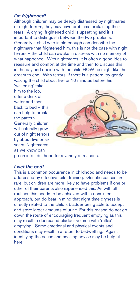## *I'm frightened!*

6 7

Although children may be deeply distressed by nightmares or night terrors, they may have problems explaining their fears. A crying, frightened child is upsetting and it is important to distinguish between the two problems. Generally a child who is old enough can describe the nightmare that frightened him, this is not the case with night terrors – the child can awake in distress with no memory of what happened. With nightmares, it is often a good idea to reassure and comfort at the time and then to discuss this in the day and decide with the child HOW he might like the dream to end. With terrors, if there is a pattern, try gently waking the child about five or 10 minutes before his 'wakening' take

him to the loo, offer a drink of water and then back to bed – this can help to break the pattern. Generally children will naturally grow out of night terrors by about five or six years. Nightmares, as we know can



go on into adulthood for a variety of reasons.

## *I wet the bed!*

This is a common occurrence in childhood and needs to be addressed by effective toilet training. Genetic causes are rare, but children are more likely to have problems if one or other of their parents also experienced this. As with all routines this needs to be achieved with a consistent approach, but do bear in mind that night time dryness is directly related to the child's bladder being able to accept and store larger amounts of urine. For this reason do not go down the route of encouraging frequent emptying as this may result in decreased bladder volume with 'reflex' emptying. Some emotional and physical events and conditions may result in a return to bedwetting. Again, identifying the cause and seeking advice may be helpful here.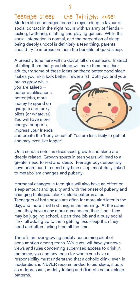Teenage sleep  $-$  the Twilight zone! Modern life encourages teens to reject sleep in favour of social contact in the night hours with an army of friends texting, twittering, chatting and playing games. While this social interaction is normal, and the perception of sleep being deeply uncool is definitely a teen thing, parents should try to impress on them the benefits of good sleep.

A preachy tone here will no doubt fall on deaf ears. Instead of telling them that good sleep will make them healthier adults, try some of these ideas on them: better good sleep makes your skin look better! Fewer zits! Both you and your

brains grow while you are asleep – better qualifications, better jobs, more money to spend on gadgets and funky bikes (or whatever). You will have more energy for sports, impress your friends



and create the 'body beautiful'. You are less likely to get fat and may even live longer!

On a serious note, as discussed, growth and sleep are deeply related. Growth spurts in teen years will lead to a greater need to rest and sleep. Teenage boys especially have been found to need day-time sleep, most likely linked to metabolism changes and puberty.

Hormonal changes in teen girls will also have an effect on sleep amount and quality and with the onset of puberty and changing biological clocks, sleep patterns alter. Teenagers of both sexes are often far more alert later in the day, and more tired first thing in the morning. At the same time, they have many more demands on their time - they may be juggling school, a part time job and a busy social life - all adding up to them getting less sleep than they need and often feeling tired all the time.

There is an ever-growing anxiety concerning alcohol consumption among teens. While you will have your own views and rules concerning supervised access to drink in the home, you and any teens for whom you have a responsibility must understand that alcoholic drink, even in moderation, is NEVER recommended to aid sleep, it acts as a depressant, is dehydrating and disrupts natural sleep patterns.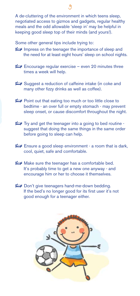A de-cluttering of the environment in which teens sleep, negotiated access to gizmos and gadgets, regular healthy meals and the odd allowable 'sleep in' may be helpful in keeping good sleep top of their minds (and yours!).

Some other general tips include trying to:

- Impress on the teenager the importance of sleep and the need for at least eight hours' sleep on school nights.
- Encourage regular exercise even 20 minutes three times a week will help.
- Suggest a reduction of caffeine intake (in coke and many other fizzy drinks as well as coffee).
- $\triangleright$  Point out that eating too much or too little close to bedtime - an over full or empty stomach - may prevent sleep onset, or cause discomfort throughout the night.
- $\blacktriangleright$  Try and get the teenager into a going to bed routine suggest that doing the same things in the same order before going to sleep can help.
- **Ensure a good sleep environment a room that is dark,** cool, quiet, safe and comfortable.
- Make sure the teenager has a comfortable bed. It's probably time to get a new one anyway - and encourage him or her to choose it themselves.
- Don't give teenagers hand-me-down bedding. If the bed's no longer good for its first user it's not good enough for a teenager either.

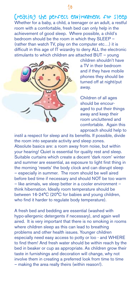Creating the perfect environment for sleep Whether for a baby, a child, a teenager or an adult, a restful room with a comfortable, fresh bed can only help in the achievement of good sleep. Where possible, a child's bedroom should be the room in which they SLEEP – (rather than watch TV, play on the computer etc…) it is difficult in this age of IT wizardry to deny ALL the electronic stimulants to which children are attached BUT – young



children shouldn't have a TV in their bedroom and if they have mobile phones they should be turned off at night/put away.

Children of all ages should be encouraged to put their things away and keep their room uncluttered and comfortable. Again this approach should help to

instil a respect for sleep and its benefits. If possible, divide the room into separate activity and sleep zones. Absolute basics are: a room away from noise, but within your hearing! Quiet is essential for quality rest and sleep. Suitable curtains which create a decent 'dark room' winter and summer are essential, as exposure to light first thing in the morning 'resets' the body clock and can disrupt sleep – especially in summer. The room should be well aired before bed time if necessary and should NOT be too warm – like animals, we sleep better in a cooler environment – think hibernation. Ideally room temperature should be between 16-24°C (20°C for babies and young children, who find it harder to regulate body temperature).

A fresh bed and bedding are essential (washed with hypo-allergenic detergents if necessary), and again well aired. It is very important that there is no smoking in rooms where children sleep as this can lead to breathing problems and other health issues. Younger children especially need easy access to potty or loo - and WHERE to find them! And fresh water should be within reach by the bed in beaker or cup as appropriate. As children grow their taste in furnishings and decoration will change, why not involve them in creating a preferred look from time to time – making the area really theirs (within reason!).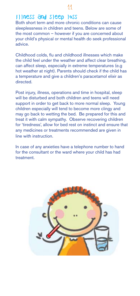## Illness and sleep loss

Both short term and more chronic conditions can cause sleeplessness in children and teens. Below are some of the most common – however if you are concerned about your child's physical or mental health do seek professional advice.

Childhood colds, flu and childhood illnesses which make the child feel under the weather and affect clear breathing, can affect sleep, especially in extreme temperatures (e.g hot weather at night). Parents should check if the child has a temperature and give a children's paracetamol elixir as directed.

Post injury, illness, operations and time in hospital, sleep will be disturbed and both children and teens will need support in order to get back to more normal sleep. Young children especially will tend to become more clingy and may go back to wetting the bed. Be prepared for this and treat it with calm sympathy. Observe recovering children for 'tiredness', allow for bed rest on instinct and ensure that any medicines or treatments recommended are given in line with instruction.

In case of any anxieties have a telephone number to hand for the consultant or the ward where your child has had treatment.

![](_page_10_Picture_6.jpeg)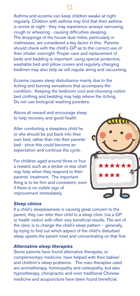## Asthma and eczema can keep children awake at night regularly. Children with asthma may find that their asthma is worse at night - they may experience airways narrowing, cough or wheezing - causing difficulties sleeping. The droppings of the house dust mites, particularly in mattresses, are considered a key factor in this. Parents should check with the child's GP as to the correct use of their inhaler overnight. Proper care and replacement of beds and bedding is important: using special protective, washable bed and pillow covers and regularly changing bedlinen may also help as will regular airing and vacuuming.

Eczema causes sleep disturbance mainly due to the itching and burning sensations that accompany the condition. Keeping the bedroom cool and choosing cotton bed clothing and bedding may help relieve the itching. Do not use biological washing powders.

Above all reward and encourage sleep to help recovery and good health.

After comforting a sleepless child he or she should be put back into their own bed, rather than into their parents' bed - since this could become an expectation and continue the cycle.

For children aged around three or four a reward, such as a sticker or star chart may help when they respond to their parents' treatment. The important thing is to be firm and consistent, even if there is no visible sign of improvement immediately.

![](_page_11_Picture_5.jpeg)

## *Sleep clinics*

If a child's sleeplessness is causing great concern to the parent, they can refer their child to a sleep clinic (via a GP or health visitor) with often very beneficial results. The aim of the clinic is to change the child's sleep pattern - generally, by trying to find out which aspect of the child's disturbed sleep upsets the parent most and concentrating on that first.

## *Alternative sleep therapies*

Some parents have found alternative therapies, or complementary medicine, have helped with their babies' and children's sleep problems. The main therapies used are aromatherapy, homeopathy and osteopathy, but also hypnotherapy, chiropractic and even traditional Chinese medicine and acupuncture have been found beneficial.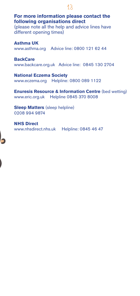**For more information please contact the following organisations direct** 

13 **13** 

(please note all the help and advice lines have different opening times)

**Asthma UK** www.asthma.org Advice line: 0800 121 62 44

**BackCare** www.backcare.org.uk Advice line: 0845 130 2704

**National Eczema Society** www.eczema.org Helpline: 0800 089 1122

**Enuresis Resource & Information Centre (bed wetting)** www.eric.org.uk Helpline 0845 370 8008

**Sleep Matters** (sleep helpline) 0208 994 9874

**NHS Direct** www.nhsdirect.nhs.uk Helpline: 0845 46 47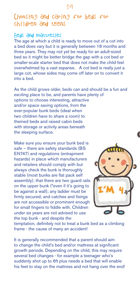# Choosing and caring for beds for children and teens

## Beds and mattresses

The age at which a child is ready to move out of a cot into a bed does vary but it is generally between 18 months and three years. They may not yet be ready for an adult-sized bed so it might be better bridge the gap with a cot bed or smaller-scale starter bed that does not make the child feel overwhelmed by a vast expanse. A cot bed is really just a large cot, whose sides may come off later on to convert it into a bed.

As the child grows older, beds can and should be a fun and exciting place to be, and parents have plenty of options to choose interesting, attractive and/or space saving options, from the ever-popular bunk beds (ideal when two children have to share a room) to themed beds and raised cabin beds with storage or activity areas beneath the sleeping surface.

Make sure you ensure your bunk bed is safe – there are safety standards (BS EN747) and regulations (entrapment hazards) in place which manufacturers and retailers should comply with but always check the bunk is thoroughly stable (most bunks are flat pack self assembly); that there are two guard rails on the upper bunk (\*even if it's going to be against a wall); any ladder must be firmly secured; and catches and fixings are not accessible or prominent enough for small fingers to fiddle with. Children under six years are not advised to use the top bunk - and despite the

![](_page_13_Picture_6.jpeg)

temptation, definitely not to treat a bunk bed as a climbing frame - the cause of many an accident!

It is generally recommended that a parent should aim to change the child's bed and/or mattress at significant growth periods. Depending on the child, this may require several bed changes - for example a teenager who's suddenly shot up to 6ft plus needs a bed that will enable his feet to stay on the mattress and not hang over the end!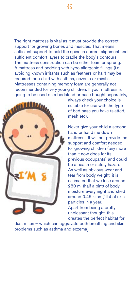The right mattress is vital as it must provide the correct support for growing bones and muscles. That means sufficient support to hold the spine in correct alignment and sufficient comfort layers to cradle the body's contours. The mattress construction can be either foam or sprung. A mattress and bedding with hypo-allergenic fillings (i.e. avoiding known irritants such as feathers or hair) may be required for a child with asthma, eczema or rhinitis. Mattresses containing memory foam are generally not recommended for very young children. If your mattress is going to be used on a bedstead or base bought separately,

![](_page_14_Picture_1.jpeg)

always check your choice is suitable for use with the type of bed base you have (slatted, mesh etc).

Never give your child a second hand or hand me down mattress. It will not provide the support and comfort needed for growing children (any more than it now does for its previous occupants) and could be a health or safety hazard. As well as obvious wear and tear from body weight, it is estimated that we lose around 280 ml (half a pint) of body moisture every night and shed around 0.45 kilos (1lb) of skin particles in a year. Apart from being a pretty unpleasant thought, this creates the perfect habitat for

dust mites – which can aggravate both breathing and skin problems such as asthma and eczema.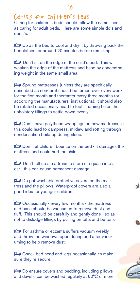# Caring for children's beds

Caring for children's beds should follow the same lines as caring for adult beds. Here are some simple do's and don't's:

 $\triangleright$  Do air the bed to cool and dry it by throwing back the bedclothes for around 20 minutes before remaking.

Don't sit on the edge of the child's bed. This will weaken the edge of the mattress and base by concentrating weight in the same small area.

 $\leftrightarrow$  Sprung mattresses (unless they are specifically described as non-turn) should be turned over every week for the first month and thereafter every three months (or according the manufacturers' instructions). It should also be rotated occasionally head to foot. Turning helps the upholstery fillings to settle down evenly.

a Don't leave polythene wrappings on new mattresses this could lead to dampness, mildew and rotting through condensation build up during sleep.

a Don't let children bounce on the bed - it damages the mattress and could hurt the child.

Don't roll up a mattress to store or squash into a car - this can cause permanent damage.

 $\triangleright$  Do put washable protective covers on the mattress and the pillows. Waterproof covers are also a good idea for younger children.

 $\triangleright$  Occasionally - every few months - the mattress and base should be vacuumed to remove dust and fluff. This should be carefully and gently done - so as not to dislodge fillings by pulling on tufts and buttons

For asthma or eczema suffers vacuum weekly and throw the windows open during and after vacuuming to help remove dust.

 $\blacktriangleright$  Check bed head and legs occasionally to make sure they're secure.

 $\leftrightarrow$  Do ensure covers and bedding, including pillows and duvets, can be washed regularly at 60°C or more.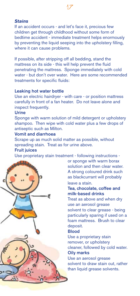## *Stains*

If an accident occurs - and let's face it, precious few children get through childhood without some form of bedtime accident - immediate treatment helps enormously by preventing the liquid seeping into the upholstery filling, where it can cause problems.

If possible, after stripping off all bedding, stand the mattress on its side - this will help prevent the fluid penetrating the mattress. Sponge immediately with cold water - but don't over water. Here are some recommended treatments for specific fluids:

## Leaking hot water bottle

Use an electric hairdryer - with care - or position mattress carefully in front of a fan heater. Do not leave alone and inspect frequently.

## Urine

Sponge with warm solution of mild detergent or upholstery shampoo. Then wipe with cold water plus a few drops of antiseptic such as Milton.

## Vomit and diarrhoea

Scrape up as much solid matter as possible, without spreading stain. Treat as for urine above.

## **Fruit juices**

Use proprietary stain treatment - following instructions -

![](_page_16_Picture_12.jpeg)

or sponge with warm borax solution and then clear water. A strong coloured drink such as blackcurrant will probably leave a stain.

## Tea, chocolate, coffee and milk-based drinks

Treat as above and when dry use an aerosol grease solvent to clear grease - being particularly sparing if used on a foam mattress. Brush to clear deposit.

## **Blood**

Use a proprietary stain remover, or upholstery cleaner, followed by cold water. Oily marks

Use an aerosol grease solvent to draw stain out, rather than liquid grease solvents.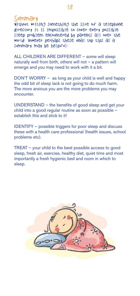# Summary

without writing something the size of a telephone directory it is impossible to cover every possible sleep problem encountered by parents all over the world! However perhaps these final top tips as a summary may be helpful:

ALL CHILDREN ARE DIFFERENT – some will sleep naturally well from birth, others will not – a pattern will emerge and you may need to work with it a bit.

DON'T WORRY – as long as your child is well and happy the odd bit of sleep lack is not going to do much harm. The more anxious you are the more problems you may encounter.

UNDERSTAND – the benefits of good sleep and get your child into a good regular routine as soon as possible – establish this and stick to it!

IDENTIFY – possible triggers for poor sleep and discuss these with a health care professional (health issues, school problems etc).

TREAT – your child to the best possible access to good sleep, fresh air, exercise, healthy diet, quiet time and most importantly a fresh hygienic bed and room in which to sleep.

![](_page_17_Picture_8.jpeg)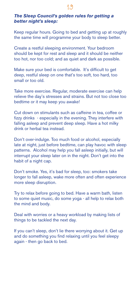## *The Sleep Council's golden rules for getting a better night's sleep:*

Keep regular hours. Going to bed and getting up at roughly the same time will programme your body to sleep better.

Create a restful sleeping environment. Your bedroom should be kept for rest and sleep and it should be neither too hot, nor too cold; and as quiet and dark as possible.

Make sure your bed is comfortable. It's difficult to get deep, restful sleep on one that's too soft, too hard, too small or too old.

Take more exercise. Regular, moderate exercise can help relieve the day's stresses and strains. But not too close too bedtime or it may keep you awake!

Cut down on stimulants such as caffeine in tea, coffee or fizzy drinks - especially in the evening. They interfere with falling asleep and prevent deep sleep. Have a hot milky drink or herbal tea instead.

Don't over-indulge. Too much food or alcohol, especially late at night, just before bedtime, can play havoc with sleep patterns. Alcohol may help you fall asleep initially, but will interrupt your sleep later on in the night. Don't get into the habit of a night cap.

Don't smoke. Yes, it's bad for sleep, too: smokers take longer to fall asleep, wake more often and often experience more sleep disruption.

Try to relax before going to bed. Have a warm bath, listen to some quiet music, do some yoga - all help to relax both the mind and body.

Deal with worries or a heavy workload by making lists of things to be tackled the next day.

If you can't sleep, don't lie there worrying about it. Get up and do something you find relaxing until you feel sleepy again - then go back to bed.